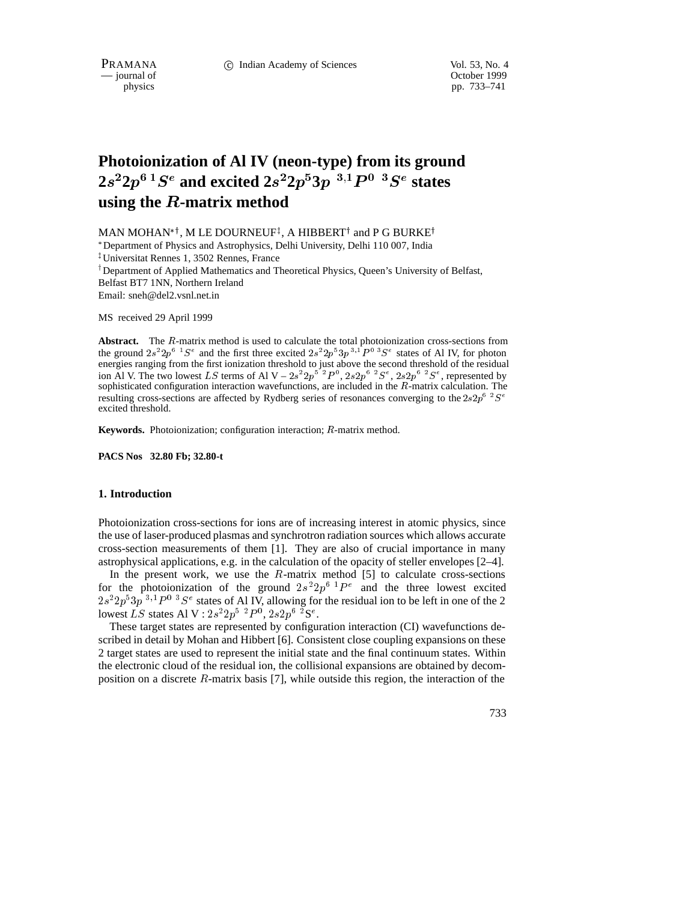PRAMANA 
<sup>C</sup> Indian Academy of Sciences Vol. 53, No. 4<br>
— journal of Cotober 1999

October 1999 physics pp. 733–741

# **Photoionization of Al IV (neon-type) from its ground**  $2s^2 2p^6\,1S^e$  and excited  $2s^2 2p^5 3p\, \ ^{3,1}P^0\, \ ^{3}S^e$  states **using the** <sup>R</sup>**-matrix method**

MAN MOHAN\*†, M LE DOURNEUF‡, A HIBBERT† and P G BURKE†

 Department of Physics and Astrophysics, Delhi University, Delhi 110 007, India <sup>z</sup> Universitat Rennes 1, 3502 Rennes, France

<sup>T</sup> Department of Applied Mathematics and Theoretical Physics, Queen's University of Belfast, Belfast BT7 1NN, Northern Ireland Email: sneh@del2.vsnl.net.in

MS received 29 April 1999

**Abstract.** The <sup>R</sup>-matrix method is used to calculate the total photoionization cross-sections from the ground  $2s^22p^6$   $^1S^e$  and the first three excited  $2s^22p^33p^{3,1}P^{0,3}S^e$  states of Al IV, for photon energies ranging from the first ionization threshold to just above the second threshold of the residual ion Al V. The two lowest LS terms of Al V –  $2s^22p^5~^2P^0$ ,  $2s2p^6~^2S^e$ ,  $2s2p^6~^2S^e$ , represented by sophisticated configuration interaction wavefunctions, are included in the <sup>R</sup>-matrix calculation. The resulting cross-sections are affected by Rydberg series of resonances converging to the  $2s2p^{\circ}$   $S^e$ excited threshold.

**Keywords.** Photoionization; configuration interaction; <sup>R</sup>-matrix method.

**PACS Nos 32.80 Fb; 32.80-t**

## **1. Introduction**

Photoionization cross-sections for ions are of increasing interest in atomic physics, since the use of laser-produced plasmas and synchrotron radiation sources which allows accurate cross-section measurements of them [1]. They are also of crucial importance in many astrophysical applications, e.g. in the calculation of the opacity of steller envelopes [2–4].

In the present work, we use the  $R$ -matrix method [5] to calculate cross-sections for the photoionization of the ground  $2s^22p^6$   $P^e$  and the three lowest excited  $2s^22p^53p^{3,1}P^{0}$   ${}^{3}S^e$  states of Al IV, allowing for the residual ion to be left in one of the 2 lowest LS states Al V :  $2s^2 2p^5~^2P^0$ ,  $2s2p^6~^2S^e$ .

These target states are represented by configuration interaction (CI) wavefunctions described in detail by Mohan and Hibbert [6]. Consistent close coupling expansions on these 2 target states are used to represent the initial state and the final continuum states. Within the electronic cloud of the residual ion, the collisional expansions are obtained by decomposition on a discrete  $R$ -matrix basis [7], while outside this region, the interaction of the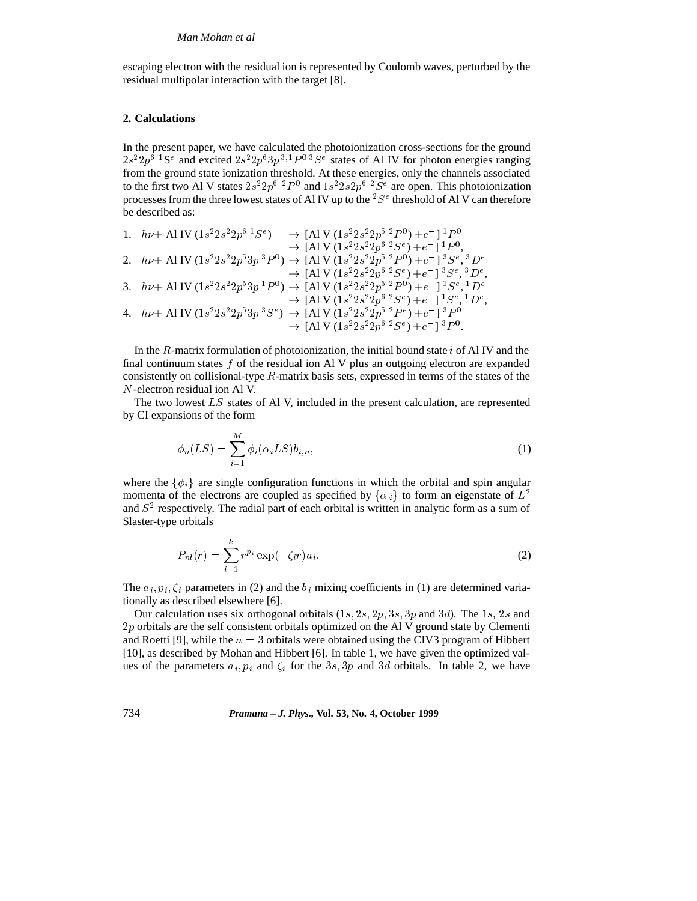escaping electron with the residual ion is represented by Coulomb waves, perturbed by the residual multipolar interaction with the target [8].

## **2. Calculations**

In the present paper, we have calculated the photoionization cross-sections for the ground  $2s^22p^6$  <sup>1</sup>S<sup>e</sup> and excited  $2s^22p^63p^{3,1}P^{0,3}S^e$  states of Al IV for photon energies ranging from the ground state ionization threshold. At these energies, only the channels associated to the first two Al V states  $2s^22p^6$   $p^0$  and  $1s^22s2p^6$   $p^2s^e$  are open. This photoionization processes from the three lowest states of Al IV up to the  ${}^{2}S^{e}$  threshold of Al V can therefore be described as:

1. 
$$
h\nu + A1 \text{ IV } (1s^2 2s^2 2p^6 {}^1S^e) \rightarrow [A1 \text{ V } (1s^2 2s^2 2p^5 {}^2P^0) + e^-] {}^1P^0
$$
  
\n $\rightarrow [A1 \text{ V } (1s^2 2s^2 2p^6 {}^2S^e) + e^-] {}^1P^0$ ,  
\n2.  $h\nu + A1 \text{ IV } (1s^2 2s^2 2p^5 3p^3 P^0) \rightarrow [A1 \text{ V } (1s^2 2s^2 2p^5 {}^2P^0) + e^-] {}^3S^e, {}^3D^e$   
\n $\rightarrow [A1 \text{ V } (1s^2 2s^2 2p^6 {}^2S^e) + e^-] {}^3S^e, {}^3D^e$ ,  
\n3.  $h\nu + A1 \text{ IV } (1s^2 2s^2 2p^5 3p^1 P^0) \rightarrow [A1 \text{ V } (1s^2 2s^2 2p^5 {}^2P^0) + e^-] {}^1S^e, {}^1D^e$   
\n $\rightarrow [A1 \text{ V } (1s^2 2s^2 2p^6 {}^2S^e) + e^-] {}^1S^e, {}^1D^e$ ,  
\n4.  $h\nu + A1 \text{ IV } (1s^2 2s^2 2p^5 3p^3 S^e) \rightarrow [A1 \text{ V } (1s^2 2s^2 2p^5 {}^2P^e) + e^-] {}^3P^0$   
\n $\rightarrow [A1 \text{ V } (1s^2 2s^2 2p^6 {}^2S^e) + e^-] {}^3P^0$ .

In the  $R$ -matrix formulation of photoionization, the initial bound state  $i$  of Al IV and the final continuum states  $f$  of the residual ion Al V plus an outgoing electron are expanded consistently on collisional-type  $R$ -matrix basis sets, expressed in terms of the states of the N-electron residual ion Al V.

The two lowest LS states of Al V, included in the present calculation, are represented by CI expansions of the form

$$
\phi_n(LS) = \sum_{i=1}^M \phi_i(\alpha_i LS) b_{i,n},\tag{1}
$$

where the  $\{\phi_i\}$  are single configuration functions in which the orbital and spin angular momenta of the electrons are coupled as specified by  $\{\alpha_i\}$  to form an eigenstate of  $L^2$ and  $S<sup>2</sup>$  respectively. The radial part of each orbital is written in analytic form as a sum of Slaster-type orbitals

$$
P_{nl}(r) = \sum_{i=1}^{k} r^{p_i} \exp(-\zeta_i r) a_i.
$$
 (2)

The  $a_i, p_i, \zeta_i$  parameters in (2) and the  $b_i$  mixing coefficients in (1) are determined variationally as described elsewhere [6].

Our calculation uses six orthogonal orbitals  $(1s, 2s, 2p, 3s, 3p \text{ and } 3d)$ . The 1s, 2s and 2p orbitals are the self consistent orbitals optimized on the Al V ground state by Clementi and Roetti [9], while the  $n = 3$  orbitals were obtained using the CIV3 program of Hibbert [10], as described by Mohan and Hibbert [6]. In table 1, we have given the optimized values of the parameters  $a_i, p_i$  and  $\zeta_i$  for the 3s, 3p and 3d orbitals. In table 2, we have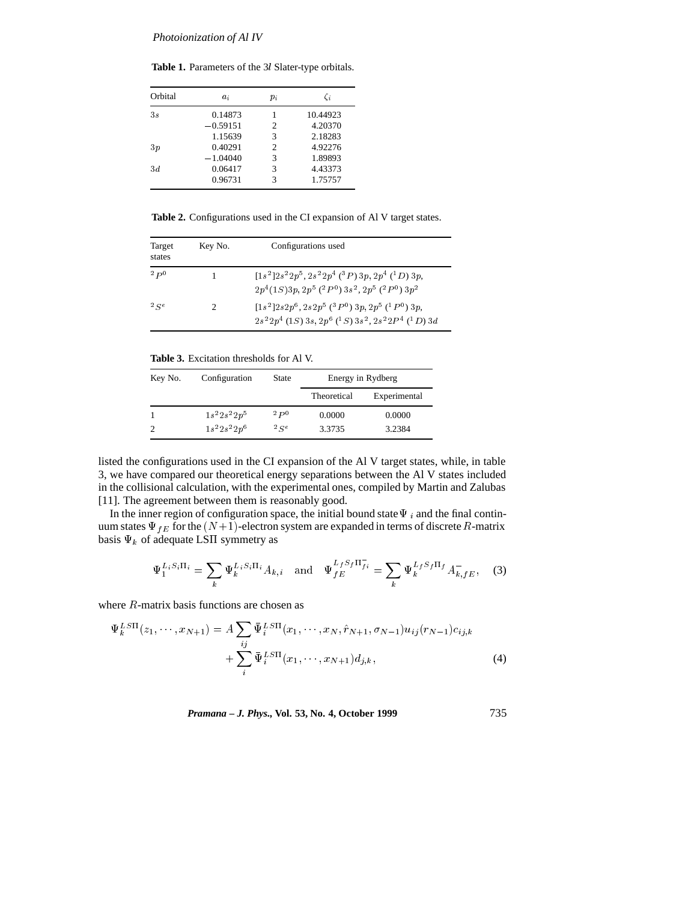**Table 1.** Parameters of the 3<sup>l</sup> Slater-type orbitals.

| Orbital | $a_i$      | $p_i$ | Či       |
|---------|------------|-------|----------|
| 3s      | 0.14873    |       | 10.44923 |
|         | $-0.59151$ | 2     | 4.20370  |
|         | 1.15639    | 3     | 2.18283  |
| 3p      | 0.40291    | 2     | 4.92276  |
|         | $-1.04040$ | 3     | 1.89893  |
| 3d      | 0.06417    | 3     | 4.43373  |
|         | 0.96731    | 3     | 1.75757  |

**Table 2.** Configurations used in the CI expansion of Al V target states.

| Target<br>states | Key No.                     | Configurations used                                                                                                                                                                                        |
|------------------|-----------------------------|------------------------------------------------------------------------------------------------------------------------------------------------------------------------------------------------------------|
| 2p0              |                             | $[1s^{2}]2s^{2}2p^{5}, 2s^{2}2p^{4}$ ( <sup>3</sup> P) 3p, $2p^{4}$ ( <sup>1</sup> D) 3p,<br>$2p^{4}(1S)3p, 2p^{5}(^{2}P^{0})3s^{2}, 2p^{5}(^{2}P^{0})3p^{2}$                                              |
| 2Se              | $\mathcal{D}_{\mathcal{L}}$ | $[1s^{2}]2s2p^{6}, 2s2p^{5} (3P^{0})3p, 2p^{5} (1P^{0})3p,$<br>$2s22p4$ (1 <i>S</i> ) 3 <i>s</i> , $2p6$ ( <sup>1</sup> <i>S</i> ) 3 <i>s</i> <sup>2</sup> , $2s22P4$ ( <sup>1</sup> <i>D</i> ) 3 <i>d</i> |

**Table 3.** Excitation thresholds for Al V.

| Key No. | Configuration    | State | Energy in Rydberg |              |
|---------|------------------|-------|-------------------|--------------|
|         |                  |       | Theoretical       | Experimental |
|         | $1s^2 2s^2 2p^5$ | 2p0   | 0.0000            | 0.0000       |
|         | $1s^2 2s^2 2p^6$ | 2Se   | 3.3735            | 3.2384       |

listed the configurations used in the CI expansion of the Al V target states, while, in table 3, we have compared our theoretical energy separations between the Al V states included in the collisional calculation, with the experimental ones, compiled by Martin and Zalubas [11]. The agreement between them is reasonably good.

In the inner region of configuration space, the initial bound state  $\Psi_i$  and the final continuum states  $\Psi_{fE}$  for the  $(N+1)$ -electron system are expanded in terms of discrete R-matrix basis  $\Psi_k$  of adequate LSII symmetry as

$$
\Psi_1^{L_i S_i \Pi_i} = \sum_k \Psi_k^{L_i S_i \Pi_i} A_{k,i} \quad \text{and} \quad \Psi_{fE}^{L_f S_f \Pi_{fi}} = \sum_k \Psi_k^{L_f S_f \Pi_f} A_{k,fE}^-, \quad (3)
$$

where <sup>R</sup>-matrix basis functions are chosen as

$$
\Psi_k^{LSTI}(z_1, \dots, x_{N+1}) = A \sum_{ij} \bar{\Psi}_i^{LSTI}(x_1, \dots, x_N, \hat{r}_{N+1}, \sigma_{N-1}) u_{ij}(r_{N-1}) c_{ij,k} + \sum_i \bar{\Psi}_i^{LSTI}(x_1, \dots, x_{N+1}) d_{j,k},
$$
\n(4)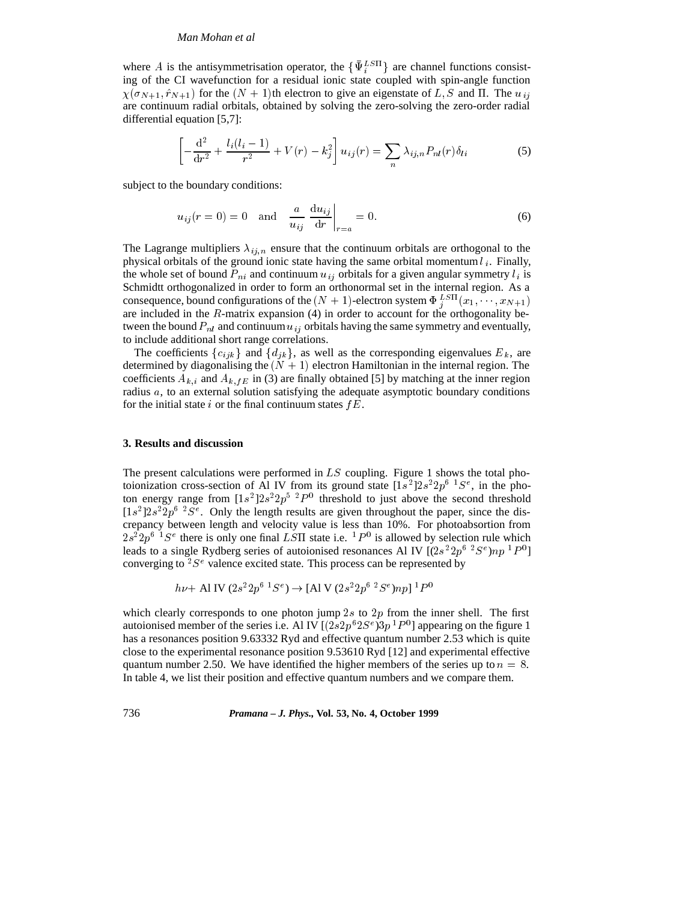## *Man Mohan et al*

where A is the antisymmetrisation operator, the  $\{\Psi_i^{LSH}\}\$ are channel functions consisting of the CI wavefunction for a residual ionic state coupled with spin-angle function  $\chi(\sigma_{N+1}, \hat{r}_{N+1})$  for the  $(N + 1)$ th electron to give an eigenstate of L, S and  $\Pi$ . The  $u_{ij}$ are continuum radial orbitals, obtained by solving the zero-solving the zero-order radial differential equation [5,7]:

$$
\left[-\frac{\mathrm{d}^2}{\mathrm{d}r^2} + \frac{l_i(l_i-1)}{r^2} + V(r) - k_j^2\right]u_{ij}(r) = \sum_n \lambda_{ij,n} P_{nl}(r)\delta_{li} \tag{5}
$$

subject to the boundary conditions:

$$
u_{ij}(r = 0) = 0
$$
 and  $\frac{a}{u_{ij}} \frac{du_{ij}}{dr}\Big|_{r=a} = 0.$  (6)

The Lagrange multipliers  $\lambda_{ij,n}$  ensure that the continuum orbitals are orthogonal to the physical orbitals of the ground ionic state having the same orbital momentum  $l_i$ . Finally, the whole set of bound  $P_{ni}$  and continuum  $u_{ij}$  orbitals for a given angular symmetry  $l_i$  is Schmidtt orthogonalized in order to form an orthonormal set in the internal region. As a consequence, bound configurations of the  $(N + 1)$ -electron system  $\Phi_i^{LST1}(x_1, \dots, x_{N+1})$ are included in the  $R$ -matrix expansion  $(4)$  in order to account for the orthogonality between the bound  $P_{nl}$  and continuum  $u_{ij}$  orbitals having the same symmetry and eventually, to include additional short range correlations.

The coefficients  $\{c_{ijk}\}\$  and  $\{d_{jk}\}\$ , as well as the corresponding eigenvalues  $E_k$ , are determined by diagonalising the  $(N + 1)$  electron Hamiltonian in the internal region. The coefficients  $A_{k,i}$  and  $A_{k,fE}$  in (3) are finally obtained [5] by matching at the inner region radius  $a$ , to an external solution satisfying the adequate asymptotic boundary conditions for the initial state i or the final continuum states  $fE$ .

### **3. Results and discussion**

The present calculations were performed in  $LS$  coupling. Figure 1 shows the total photoionization cross-section of Al IV from its ground state  $[1s^2]2s^22p^6S^2s$ , in the photon energy range from  $[1s^2]2s^22p^5$   $^2P^0$  threshold to just above the second threshold  $[1s^2]2s^22p^6$  <sup>2</sup>S<sup>e</sup>. Only the length results are given throughout the paper, since the discrepancy between length and velocity value is less than 10%. For photoabsortion from  $2s^22p^6$  <sup>1</sup>S<sup>e</sup> there is only one final LSII state i.e.  ${}^{1}P^0$  is allowed by selection rule which leads to a single Rydberg series of autoionised resonances Al IV  $[(2s^22p^6\;2Se)np\;1P^0]$ converging to  ${}^{2}S^{e}$  valence excited state. This process can be represented by

$$
h\nu
$$
+ Al IV  $(2s^2 2p^6 1S^e)$   $\rightarrow$  [Al V  $(2s^2 2p^6 2S^e) np$ ]  $1P^0$ 

which clearly corresponds to one photon jump  $2s$  to  $2p$  from the inner shell. The first autoionised member of the series i.e. Al IV  $[(2s2p<sup>6</sup>2S<sup>e</sup>)3p<sup>1</sup>P<sup>0</sup>]$  appearing on the figure 1 has a resonances position 9.63332 Ryd and effective quantum number 2.53 which is quite close to the experimental resonance position 9.53610 Ryd [12] and experimental effective quantum number 2.50. We have identified the higher members of the series up to  $n = 8$ . In table 4, we list their position and effective quantum numbers and we compare them.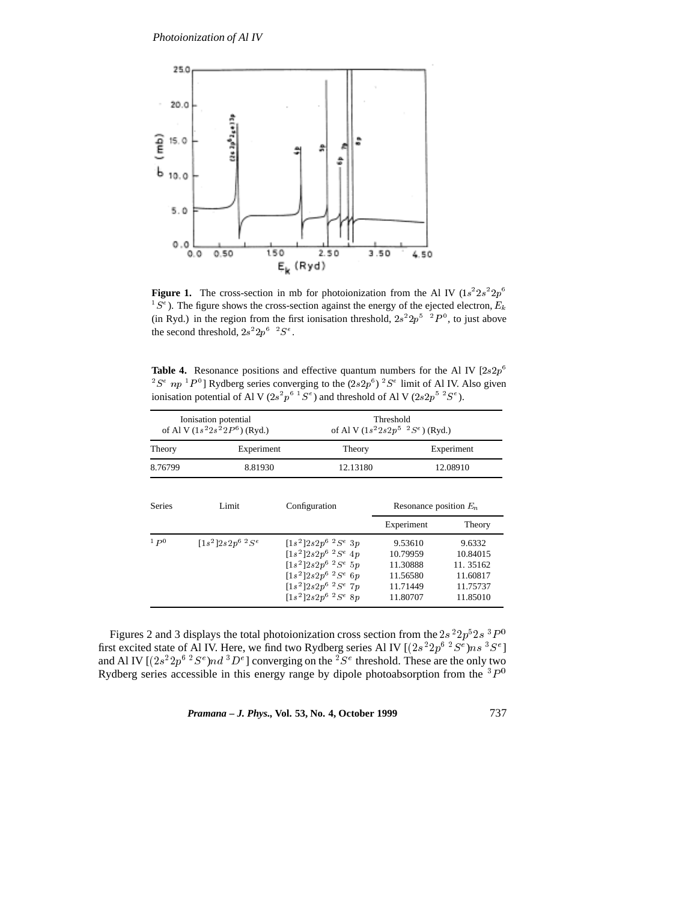

**Figure 1.** The cross-section in mb for photoionization from the Al IV  $(1s^22s^22p^6)$  ${}^{1}S^{e}$ ). The figure shows the cross-section against the energy of the ejected electron,  $E_{k}$ (in Ryd.) in the region from the first ionisation threshold,  $2s^2 2p^5 \nvert^2 P^0$ , to just above the second threshold,  $2s^2 2p^6 \tcdot 2S^e$ .

**Table 4.** Resonance positions and effective quantum numbers for the Al IV  $[2s2p^6]$  $2^2S^e$  np  $P^0$ ] Rydberg series converging to the  $(2s2p^6)$   $2^e$  limit of Al IV. Also given ionisation potential of Al V (2s<sup>2</sup> $p^{6}$   $\pm S^{e}$ ) and threshold of Al V (2s2 $p^{5}$   $\pm S^{e}$ ).

| Ionisation potential<br>of Al V $(1s^22s^22P^6)$ (Ryd.) |                      | Threshold<br>of Al V $(1s^22s2p^5~^2S^e)$ (Ryd.)                                                                                                                        |                                                                     |                                                                    |
|---------------------------------------------------------|----------------------|-------------------------------------------------------------------------------------------------------------------------------------------------------------------------|---------------------------------------------------------------------|--------------------------------------------------------------------|
| Theory                                                  | Experiment           | Theory                                                                                                                                                                  | Experiment<br>12.08910                                              |                                                                    |
| 8.76799                                                 | 8.81930              | 12.13180                                                                                                                                                                |                                                                     |                                                                    |
| <b>Series</b>                                           | Limit                | Configuration                                                                                                                                                           | Resonance position $E_n$                                            |                                                                    |
|                                                         |                      |                                                                                                                                                                         | Experiment                                                          | Theory                                                             |
| 1 P <sub>0</sub>                                        | $[1s^2]2s2p^6~^2S^e$ | $[1s^2]2s2p^6$ ${}^2S^e$ 3p<br>$[1s^2]2s2p^6~^2S^e~4p$<br>$[1s^2]2s2p^6~^2S^e~5p$<br>$[1s^2]2s2p^6 2Se$ 6p<br>$[1s^2]2s2p^6$ ${}^{2}Se$ $7p$<br>$[1s^2]2s2p^6~^2S^e~8p$ | 9.53610<br>10.79959<br>11.30888<br>11.56580<br>11.71449<br>11.80707 | 9.6332<br>10.84015<br>11.35162<br>11.60817<br>11.75737<br>11.85010 |

Figures 2 and 3 displays the total photoionization cross section from the  $2s^{2}2p^{5}2s^{3}P^{0}$ first excited state of Al IV. Here, we find two Rydberg series Al IV  $[(2s^22p^6\;2S^e)ns\;3S^e]$ and Al IV  $[(2s^22p^6~^2S^e)nd~^3D^e]$  converging on the  ${}^2S^e$  threshold. These are the only two Rydberg series accessible in this energy range by dipole photoabsorption from the  ${}^{3}P^{0}$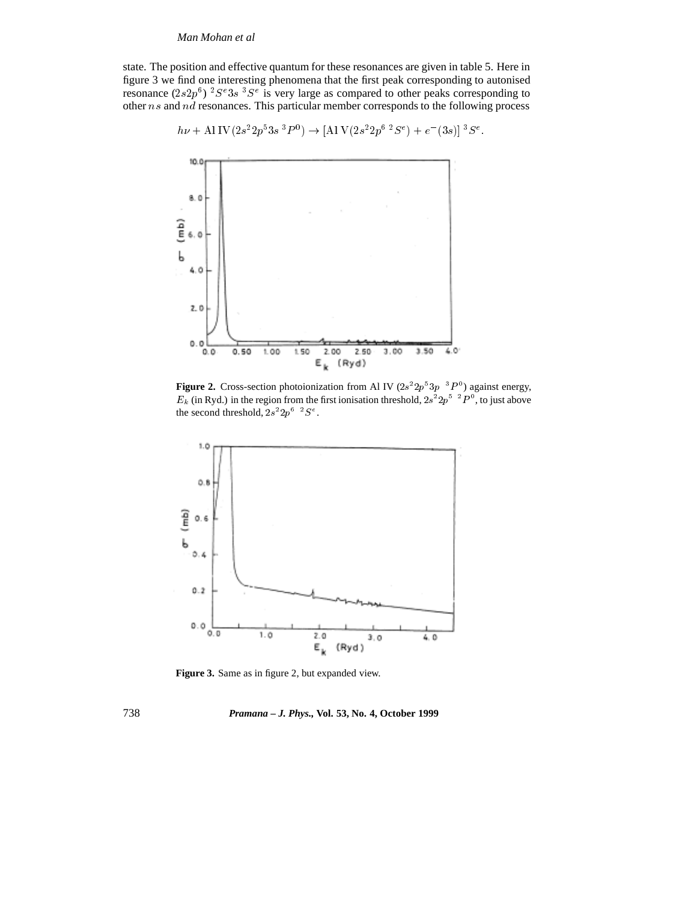state. The position and effective quantum for these resonances are given in table 5. Here in figure 3 we find one interesting phenomena that the first peak corresponding to autonised resonance  $(2s2p^6)$   ${}^{2}S^e3s$   ${}^{3}S^e$  is very large as compared to other peaks corresponding to other ns and nd resonances. This particular member corresponds to the following process

$$
h\nu + A1 \text{ IV} (2s^2 2p^5 3s^3 P^0) \rightarrow [A1 \text{ V} (2s^2 2p^6 \text{ }^2S^e) + e^-(3s)] \text{ }^3S^e.
$$



**Figure 2.** Cross-section photoionization from Al IV  $(2s^22p^33p^{-3}P^0)$  against energy,  $E_k$  (in Ryd.) in the region from the first ionisation threshold,  $2s^2 2p^{5-2}P^0$ , to just above the second threshold,  $2s^2 2p^6 \tcdot 2S^e$ .



Figure 3. Same as in figure 2, but expanded view.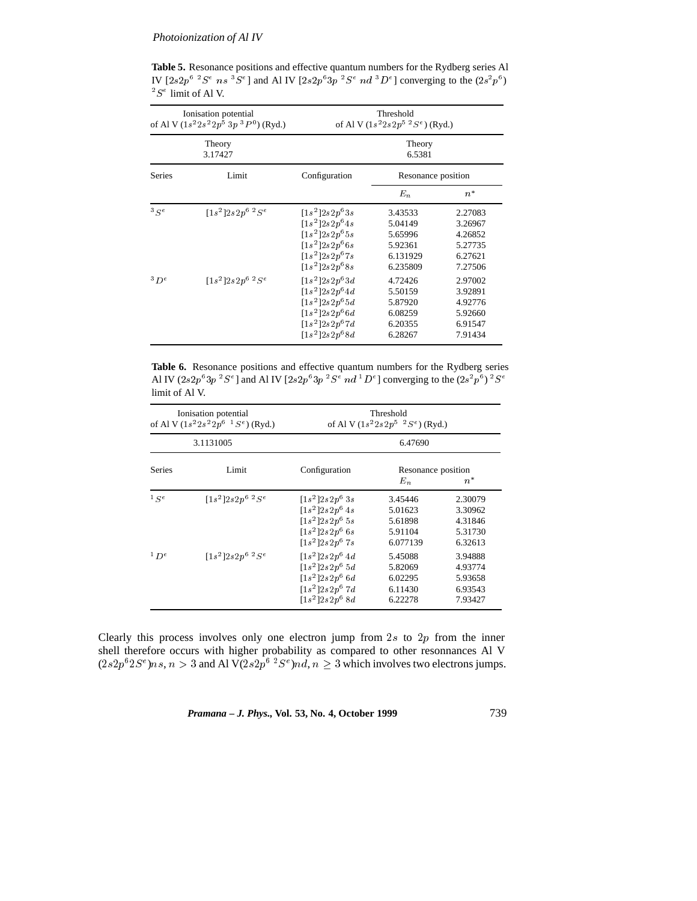**Table 5.** Resonance positions and effective quantum numbers for the Rydberg series Al IV  $[2s2p^6\;2S^e\;ns\;{}^3S^e]$  and Al IV  $[2s2p^63p\;{}^2S^e\;nd\;{}^3D^e]$  converging to the  $(2s^2p^6)$  ${}^2S^e$  limit of Al V.

| Ionisation potential<br>of Al V $(1s^22s^22p^53p^3P^0)$ (Ryd.) |                      | Threshold<br>of Al V $(1s^2 2s 2p^5 2S^e)$ (Ryd.)                                                                    |                                                                  |                                                                |  |
|----------------------------------------------------------------|----------------------|----------------------------------------------------------------------------------------------------------------------|------------------------------------------------------------------|----------------------------------------------------------------|--|
| Theory<br>3.17427                                              |                      | Theory<br>6.5381                                                                                                     |                                                                  |                                                                |  |
| Series                                                         | Limit                | Configuration                                                                                                        | Resonance position                                               |                                                                |  |
|                                                                |                      |                                                                                                                      | $E_n$                                                            | $n^*$                                                          |  |
| 3 Se                                                           | $[1s^2]2s2p^6 2Se$   | $[1s^2]2s2p^63s$<br>$[1s^2]2s2p^64s$<br>$[1s^2]2s2p^65s$<br>$[1s^2]2s2p^66s$<br>$[1s^2]2s2p^67s$<br>$[1s^2]2s2p^68s$ | 3.43533<br>5.04149<br>5.65996<br>5.92361<br>6.131929<br>6.235809 | 2.27083<br>3.26967<br>4.26852<br>5.27735<br>6.27621<br>7.27506 |  |
| $3D^e$                                                         | $[1s^2]2s2p^6~^2S^e$ | $[1s^2]2s2p^63d$<br>$[1s^2]2s2p^64d$<br>$[1s^2]2s2p^65d$<br>$[1s^2]2s2p^66d$<br>$[1s^2]2s2p^67d$<br>$[1s^2]2s2p^68d$ | 4.72426<br>5.50159<br>5.87920<br>6.08259<br>6.20355<br>6.28267   | 2.97002<br>3.92891<br>4.92776<br>5.92660<br>6.91547<br>7.91434 |  |

**Table 6.** Resonance positions and effective quantum numbers for the Rydberg series Al IV  $(2s2p^63p~^2S^e)$  and Al IV  $[2s2p^63p~^2S^e~nd~^1D^e]$  converging to the  $(2s^2p^6)^~^2S^e$ limit of Al V.

| Ionisation potential<br>of Al V $(1s^22s^22p^6 \t1S^e)$ (Ryd.)<br>3.1131005 |                      | Threshold<br>of Al V $(1s^2 2s 2p^5~^2S^e)$ (Ryd.)                                                 |                                                      |                                                     |
|-----------------------------------------------------------------------------|----------------------|----------------------------------------------------------------------------------------------------|------------------------------------------------------|-----------------------------------------------------|
|                                                                             |                      | 6.47690                                                                                            |                                                      |                                                     |
| <b>Series</b>                                                               | Limit                | Configuration                                                                                      | Resonance position<br>$E_n$<br>$n^*$                 |                                                     |
| $1$ $\leq e$                                                                | $[1s^2]2s2p^6~^2Se$  | $[1s^2]2s2p^63s$<br>$[1s^2]2s2p^6$ 4s<br>$[1s^2]2s2p^65s$<br>$[1s^2]2s2p^6$ 6s<br>$[1s^2]2s2p^67s$ | 3.45446<br>5.01623<br>5.61898<br>5.91104<br>6.077139 | 2.30079<br>3.30962<br>4.31846<br>5.31730<br>6.32613 |
| 1p e                                                                        | $[1s^2]2s2p^6~^2S^e$ | $[1s^2]2s2p^64d$<br>$[1s^2]2s2p^65d$<br>$[1s^2]2s2p^66d$<br>$[1s^2]2s2p^67d$<br>$[1s^2]2s2p^68d$   | 5.45088<br>5.82069<br>6.02295<br>6.11430<br>6.22278  | 3.94888<br>4.93774<br>5.93658<br>6.93543<br>7.93427 |

Clearly this process involves only one electron jump from  $2s$  to  $2p$  from the inner shell therefore occurs with higher probability as compared to other resonnances Al V  $(2s2p^62S<sup>e</sup>)ns, n > 3$  and Al V $(2s2p^6~^2S<sup>e</sup>)nd, n \ge 3$  which involves two electrons jumps.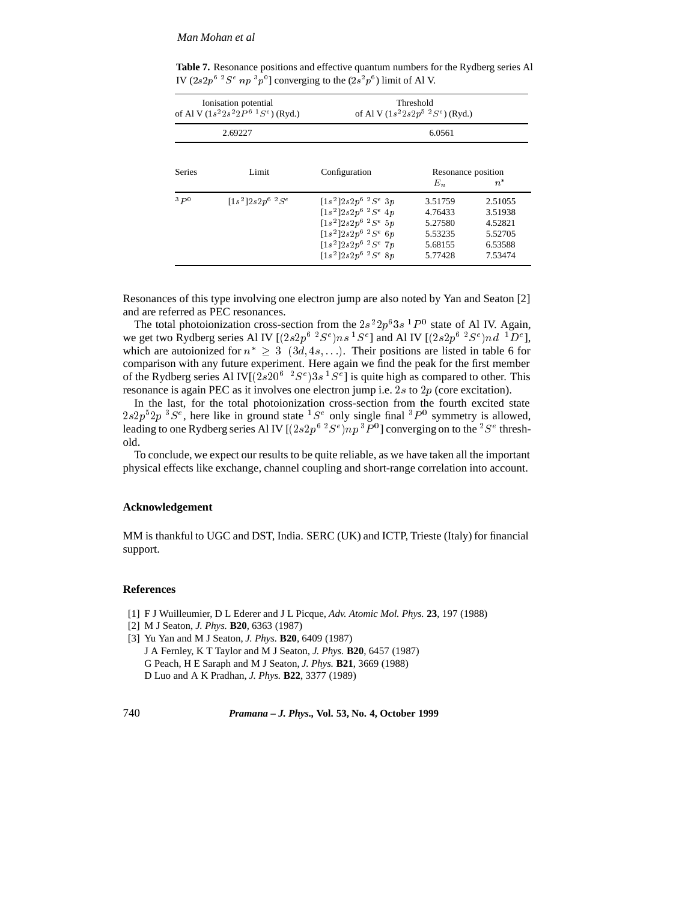## *Man Mohan et al*

| Ionisation potential<br>of Al V $(1s^22s^22P^6~^1S^e)$ (Ryd.)<br>2.69227 |                      | Threshold<br>of Al V $(1s^22s2p^5~^2S^e)$ (Ryd.)                                                                                                                  |                                                                |                                                                |
|--------------------------------------------------------------------------|----------------------|-------------------------------------------------------------------------------------------------------------------------------------------------------------------|----------------------------------------------------------------|----------------------------------------------------------------|
|                                                                          |                      | 6.0561                                                                                                                                                            |                                                                |                                                                |
| <b>Series</b>                                                            | Limit                | Configuration                                                                                                                                                     | Resonance position<br>$E_n$                                    | $n^*$                                                          |
| 3p0                                                                      | $[1s^2]2s2p^6~^2S^e$ | $[1s^2]2s2p^6~^2S^e~3p$<br>$[1s^2]2s2p^6$ ${}^2S^e$ 4p<br>$[1s^2]2s2p^6~^2S^e~5p$<br>$[1s^2]2s2p^6~^2S^e~6p$<br>$[1s^2]2s2p^6~^2Se~7p$<br>$[1s^2]2s2p^6~^2S^e~8p$ | 3.51759<br>4.76433<br>5.27580<br>5.53235<br>5.68155<br>5.77428 | 2.51055<br>3.51938<br>4.52821<br>5.52705<br>6.53588<br>7.53474 |

**Table 7.** Resonance positions and effective quantum numbers for the Rydberg series Al IV  $(2s2p^6~^2S^e~np~^3p^0]$  converging to the  $(2s^2p^6)$  limit of Al V.

Resonances of this type involving one electron jump are also noted by Yan and Seaton [2] and are referred as PEC resonances.

The total photoionization cross-section from the  $2s^22p^63s^{-1}P^0$  state of Al IV. Again, we get two Rydberg series Al IV  $[(2s2p^6~^2S^e)ns~^1S^e]$  and Al IV  $[(2s2p^6~^2S^e)nd~^1D^e]$ , which are autoionized for  $n^* \geq 3 \ (3d, 4s, \ldots)$ . Their positions are listed in table 6 for comparison with any future experiment. Here again we find the peak for the first member of the Rydberg series Al IV $[(2s20^6~^2S^e)3s~^1S^e]$  is quite high as compared to other. This resonance is again PEC as it involves one electron jump i.e. 2s to  $2p$  (core excitation).

In the last, for the total photoionization cross-section from the fourth excited state  $2s2p<sup>5</sup>2p<sup>3</sup>S<sup>e</sup>$ , here like in ground state  ${}^{1}S<sup>e</sup>$  only single final  ${}^{3}P<sup>0</sup>$  symmetry is allowed, leading to one Rydberg series Al IV [ $(2s2p^6~^2S^e)np~^3P^0$ ] converging on to the  $^2S^e$  threshold.

To conclude, we expect our results to be quite reliable, as we have taken all the important physical effects like exchange, channel coupling and short-range correlation into account.

### **Acknowledgement**

MM is thankful to UGC and DST, India. SERC (UK) and ICTP, Trieste (Italy) for financial support.

#### **References**

- [1] F J Wuilleumier, D L Ederer and J L Picque, *Adv. Atomic Mol. Phys.* **23**, 197 (1988)
- [2] M J Seaton, *J. Phys.* **B20**, 6363 (1987)
- [3] Yu Yan and M J Seaton, *J. Phys.* **B20**, 6409 (1987)
- J A Fernley, K T Taylor and M J Seaton, *J. Phys.* **B20**, 6457 (1987) G Peach, H E Saraph and M J Seaton, *J. Phys.* **B21**, 3669 (1988) D Luo and A K Pradhan, *J. Phys.* **B22**, 3377 (1989)